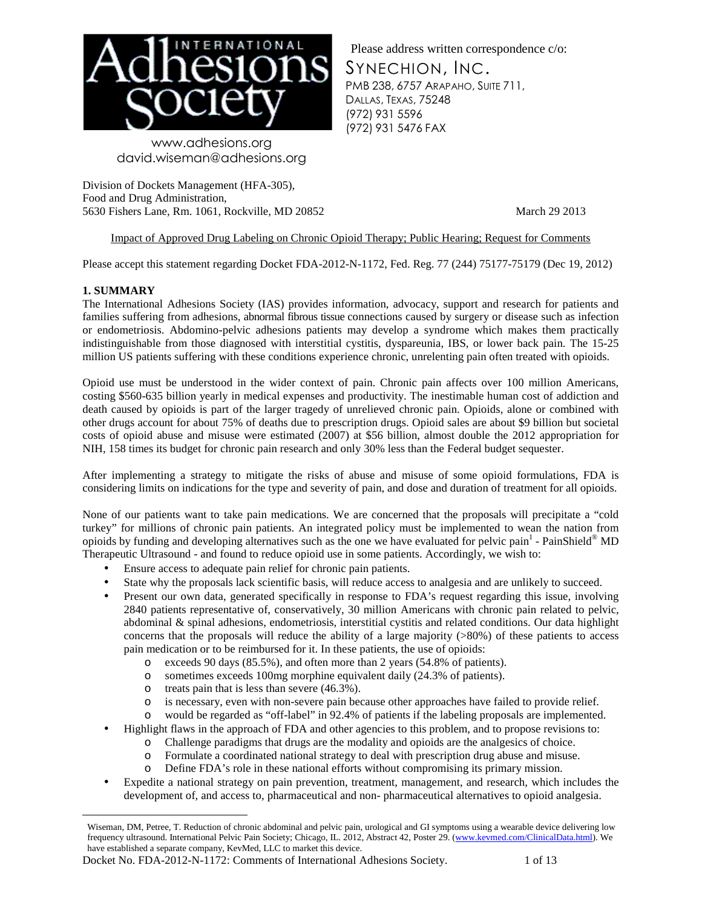

Please address written correspondence c/o:

SYNECHION, INC.

PMB 238, 6757 ARAPAHO, SUITE 711, DALLAS, TEXAS, 75248 (972) 931 5596 (972) 931 5476 FAX

 www.adhesions.org david.wiseman@adhesions.org

Division of Dockets Management (HFA-305), Food and Drug Administration, 5630 Fishers Lane, Rm. 1061, Rockville, MD 20852 March 29 2013

## Impact of Approved Drug Labeling on Chronic Opioid Therapy; Public Hearing; Request for Comments

Please accept this statement regarding Docket FDA-2012-N-1172, Fed. Reg. 77 (244) 75177-75179 (Dec 19, 2012)

## **1. SUMMARY**

The International Adhesions Society (IAS) provides information, advocacy, support and research for patients and families suffering from adhesions, abnormal fibrous tissue connections caused by surgery or disease such as infection or endometriosis. Abdomino-pelvic adhesions patients may develop a syndrome which makes them practically indistinguishable from those diagnosed with interstitial cystitis, dyspareunia, IBS, or lower back pain. The 15-25 million US patients suffering with these conditions experience chronic, unrelenting pain often treated with opioids.

Opioid use must be understood in the wider context of pain. Chronic pain affects over 100 million Americans, costing \$560-635 billion yearly in medical expenses and productivity. The inestimable human cost of addiction and death caused by opioids is part of the larger tragedy of unrelieved chronic pain. Opioids, alone or combined with other drugs account for about 75% of deaths due to prescription drugs. Opioid sales are about \$9 billion but societal costs of opioid abuse and misuse were estimated (2007) at \$56 billion, almost double the 2012 appropriation for NIH, 158 times its budget for chronic pain research and only 30% less than the Federal budget sequester.

After implementing a strategy to mitigate the risks of abuse and misuse of some opioid formulations, FDA is considering limits on indications for the type and severity of pain, and dose and duration of treatment for all opioids.

None of our patients want to take pain medications. We are concerned that the proposals will precipitate a "cold turkey" for millions of chronic pain patients. An integrated policy must be implemented to wean the nation from opioids by funding and developing alternatives such as the one we have evaluated for pelvic pain<sup>1</sup> - PainShield® MD Therapeutic Ultrasound - and found to reduce opioid use in some patients. Accordingly, we wish to:

- Ensure access to adequate pain relief for chronic pain patients.
- State why the proposals lack scientific basis, will reduce access to analgesia and are unlikely to succeed.
- Present our own data, generated specifically in response to FDA's request regarding this issue, involving 2840 patients representative of, conservatively, 30 million Americans with chronic pain related to pelvic, abdominal & spinal adhesions, endometriosis, interstitial cystitis and related conditions. Our data highlight concerns that the proposals will reduce the ability of a large majority  $(>80%)$  of these patients to access pain medication or to be reimbursed for it. In these patients, the use of opioids:
	- o exceeds 90 days (85.5%), and often more than 2 years (54.8% of patients).
	- o sometimes exceeds 100mg morphine equivalent daily (24.3% of patients).
	- o treats pain that is less than severe (46.3%).
	- o is necessary, even with non-severe pain because other approaches have failed to provide relief.
	- o would be regarded as "off-label" in 92.4% of patients if the labeling proposals are implemented.
- Highlight flaws in the approach of FDA and other agencies to this problem, and to propose revisions to:
	- o Challenge paradigms that drugs are the modality and opioids are the analgesics of choice.
	- o Formulate a coordinated national strategy to deal with prescription drug abuse and misuse.
	- o Define FDA's role in these national efforts without compromising its primary mission.
- Expedite a national strategy on pain prevention, treatment, management, and research, which includes the development of, and access to, pharmaceutical and non- pharmaceutical alternatives to opioid analgesia.

Docket No. FDA-2012-N-1172: Comments of International Adhesions Society. 1 of 13

 $\overline{a}$ Wiseman, DM, Petree, T. Reduction of chronic abdominal and pelvic pain, urological and GI symptoms using a wearable device delivering low frequency ultrasound. International Pelvic Pain Society; Chicago, IL. 2012, Abstract 42, Poster 29. (www.kevmed.com/ClinicalData.html). We have established a separate company, KevMed, LLC to market this device.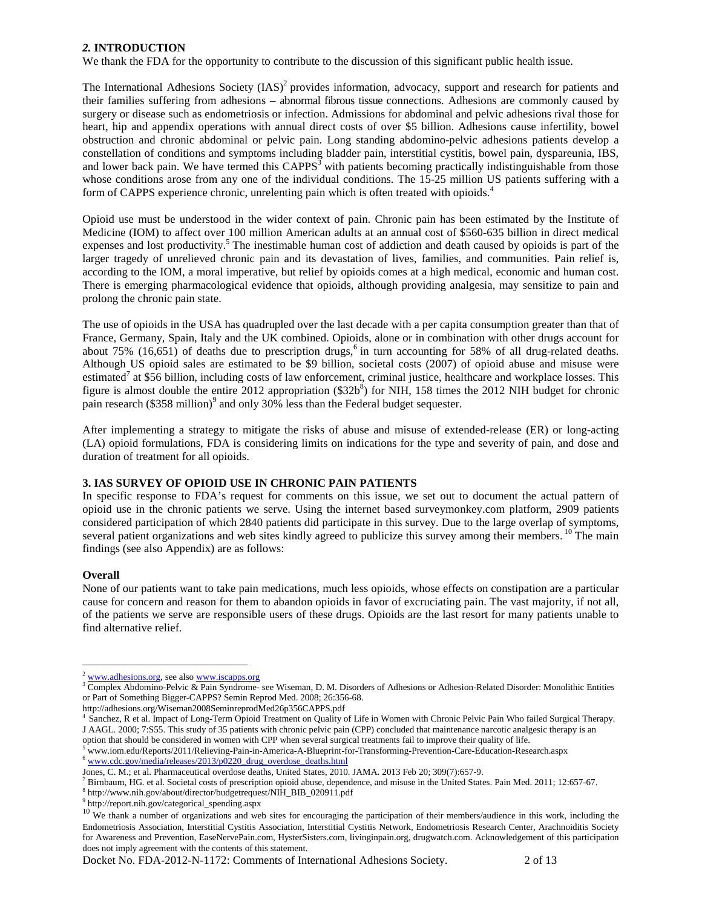### *2.* **INTRODUCTION**

We thank the FDA for the opportunity to contribute to the discussion of this significant public health issue.

The International Adhesions Society  $(IAS)^2$  provides information, advocacy, support and research for patients and their families suffering from adhesions – abnormal fibrous tissue connections. Adhesions are commonly caused by surgery or disease such as endometriosis or infection. Admissions for abdominal and pelvic adhesions rival those for heart, hip and appendix operations with annual direct costs of over \$5 billion. Adhesions cause infertility, bowel obstruction and chronic abdominal or pelvic pain. Long standing abdomino-pelvic adhesions patients develop a constellation of conditions and symptoms including bladder pain, interstitial cystitis, bowel pain, dyspareunia, IBS, and lower back pain. We have termed this  $CAPPS<sup>3</sup>$  with patients becoming practically indistinguishable from those whose conditions arose from any one of the individual conditions. The 15-25 million US patients suffering with a form of CAPPS experience chronic, unrelenting pain which is often treated with opioids.<sup>4</sup>

Opioid use must be understood in the wider context of pain. Chronic pain has been estimated by the Institute of Medicine (IOM) to affect over 100 million American adults at an annual cost of \$560-635 billion in direct medical expenses and lost productivity.<sup>5</sup> The inestimable human cost of addiction and death caused by opioids is part of the larger tragedy of unrelieved chronic pain and its devastation of lives, families, and communities. Pain relief is, according to the IOM, a moral imperative, but relief by opioids comes at a high medical, economic and human cost. There is emerging pharmacological evidence that opioids, although providing analgesia, may sensitize to pain and prolong the chronic pain state.

The use of opioids in the USA has quadrupled over the last decade with a per capita consumption greater than that of France, Germany, Spain, Italy and the UK combined. Opioids, alone or in combination with other drugs account for about 75% (16,651) of deaths due to prescription drugs,<sup>6</sup> in turn accounting for 58% of all drug-related deaths. Although US opioid sales are estimated to be \$9 billion, societal costs (2007) of opioid abuse and misuse were estimated<sup>7</sup> at \$56 billion, including costs of law enforcement, criminal justice, healthcare and workplace losses. This figure is almost double the entire 2012 appropriation  $(\$32b<sup>8</sup>)$  for NIH, 158 times the 2012 NIH budget for chronic pain research  $(\$358$  million)<sup>9</sup> and only 30% less than the Federal budget sequester.

After implementing a strategy to mitigate the risks of abuse and misuse of extended-release (ER) or long-acting (LA) opioid formulations, FDA is considering limits on indications for the type and severity of pain, and dose and duration of treatment for all opioids.

### **3. IAS SURVEY OF OPIOID USE IN CHRONIC PAIN PATIENTS**

In specific response to FDA's request for comments on this issue, we set out to document the actual pattern of opioid use in the chronic patients we serve. Using the internet based surveymonkey.com platform, 2909 patients considered participation of which 2840 patients did participate in this survey. Due to the large overlap of symptoms, several patient organizations and web sites kindly agreed to publicize this survey among their members.<sup>10</sup> The main findings (see also Appendix) are as follows:

### **Overall**

 $\overline{a}$ 

None of our patients want to take pain medications, much less opioids, whose effects on constipation are a particular cause for concern and reason for them to abandon opioids in favor of excruciating pain. The vast majority, if not all, of the patients we serve are responsible users of these drugs. Opioids are the last resort for many patients unable to find alternative relief.

Docket No. FDA-2012-N-1172: Comments of International Adhesions Society. 2 of 13

www.adhesions.org, see also www.iscapps.org

<sup>&</sup>lt;sup>3</sup> Complex Abdomino-Pelvic & Pain Syndrome- see Wiseman, D. M. Disorders of Adhesions or Adhesion-Related Disorder: Monolithic Entities or Part of Something Bigger-CAPPS? Semin Reprod Med. 2008; 26:356-68.

http://adhesions.org/Wiseman2008SeminreprodMed26p356CAPPS.pdf

<sup>4</sup> Sanchez, R et al. Impact of Long-Term Opioid Treatment on Quality of Life in Women with Chronic Pelvic Pain Who failed Surgical Therapy. J AAGL. 2000; 7:S55. This study of 35 patients with chronic pelvic pain (CPP) concluded that maintenance narcotic analgesic therapy is an

option that should be considered in women with CPP when several surgical treatments fail to improve their quality of life. <sup>5</sup> www.iom.edu/Reports/2011/Relieving-Pain-in-America-A-Blueprint-for-Transforming-Prevention-Care-Education-Research.aspx <sup>6</sup> www.cdc.gov/media/releases/2013/p0220\_drug\_overdose\_deaths.html

Jones, C. M.; et al. Pharmaceutical overdose deaths, United States, 2010. JAMA. 2013 Feb 20; 309(7):657-9.

 $^7$  Birnbaum, HG. et al. Societal costs of prescription opioid abuse, dependence, and misuse in the United States. Pain Med. 2011; 12:657-67.

<sup>8</sup> http://www.nih.gov/about/director/budgetrequest/NIH\_BIB\_020911.pdf

<sup>9</sup> http://report.nih.gov/categorical\_spending.aspx

<sup>10</sup> We thank a number of organizations and web sites for encouraging the participation of their members/audience in this work, including the Endometriosis Association, Interstitial Cystitis Association, Interstitial Cystitis Network, Endometriosis Research Center, Arachnoiditis Society for Awareness and Prevention, EaseNervePain.com, HysterSisters.com, livinginpain.org, drugwatch.com. Acknowledgement of this participation does not imply agreement with the contents of this statement.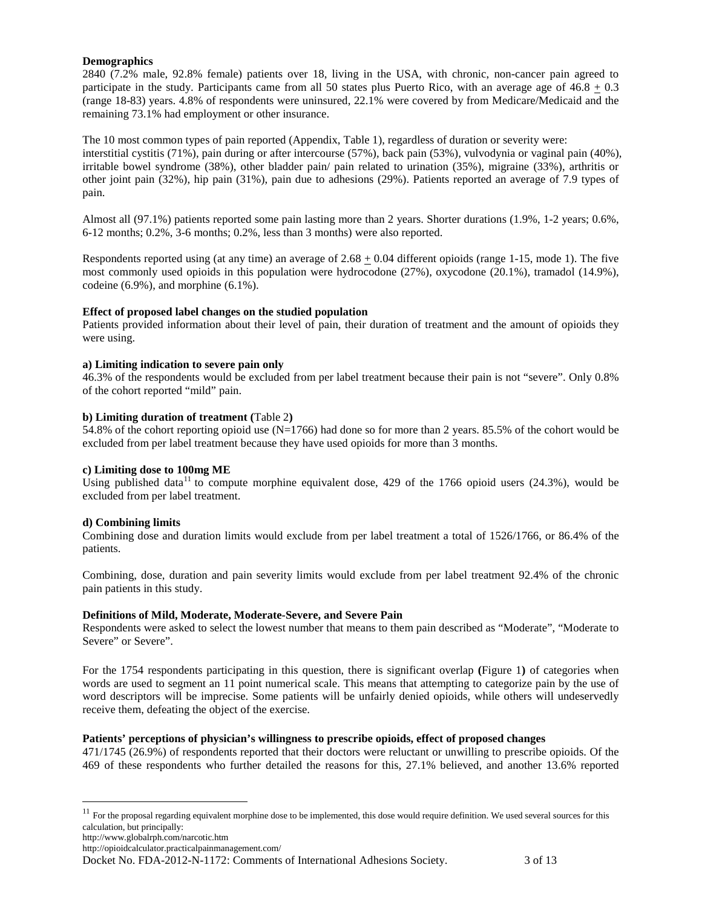### **Demographics**

2840 (7.2% male, 92.8% female) patients over 18, living in the USA, with chronic, non-cancer pain agreed to participate in the study. Participants came from all 50 states plus Puerto Rico, with an average age of 46.8 + 0.3 (range 18-83) years. 4.8% of respondents were uninsured, 22.1% were covered by from Medicare/Medicaid and the remaining 73.1% had employment or other insurance.

The 10 most common types of pain reported (Appendix, Table 1), regardless of duration or severity were: interstitial cystitis (71%), pain during or after intercourse (57%), back pain (53%), vulvodynia or vaginal pain (40%), irritable bowel syndrome (38%), other bladder pain/ pain related to urination (35%), migraine (33%), arthritis or other joint pain (32%), hip pain (31%), pain due to adhesions (29%). Patients reported an average of 7.9 types of pain.

Almost all (97.1%) patients reported some pain lasting more than 2 years. Shorter durations (1.9%, 1-2 years; 0.6%, 6-12 months; 0.2%, 3-6 months; 0.2%, less than 3 months) were also reported.

Respondents reported using (at any time) an average of  $2.68 \pm 0.04$  different opioids (range 1-15, mode 1). The five most commonly used opioids in this population were hydrocodone (27%), oxycodone (20.1%), tramadol (14.9%), codeine (6.9%), and morphine (6.1%).

### **Effect of proposed label changes on the studied population**

Patients provided information about their level of pain, their duration of treatment and the amount of opioids they were using.

### **a) Limiting indication to severe pain only**

46.3% of the respondents would be excluded from per label treatment because their pain is not "severe". Only 0.8% of the cohort reported "mild" pain.

### **b) Limiting duration of treatment (**Table 2**)**

54.8% of the cohort reporting opioid use (N=1766) had done so for more than 2 years. 85.5% of the cohort would be excluded from per label treatment because they have used opioids for more than 3 months.

#### **c) Limiting dose to 100mg ME**

Using published data<sup>11</sup> to compute morphine equivalent dose, 429 of the 1766 opioid users (24.3%), would be excluded from per label treatment.

#### **d) Combining limits**

Combining dose and duration limits would exclude from per label treatment a total of 1526/1766, or 86.4% of the patients.

Combining, dose, duration and pain severity limits would exclude from per label treatment 92.4% of the chronic pain patients in this study.

#### **Definitions of Mild, Moderate, Moderate-Severe, and Severe Pain**

Respondents were asked to select the lowest number that means to them pain described as "Moderate", "Moderate to Severe" or Severe".

For the 1754 respondents participating in this question, there is significant overlap **(**Figure 1**)** of categories when words are used to segment an 11 point numerical scale. This means that attempting to categorize pain by the use of word descriptors will be imprecise. Some patients will be unfairly denied opioids, while others will undeservedly receive them, defeating the object of the exercise.

### **Patients' perceptions of physician's willingness to prescribe opioids, effect of proposed changes**

471/1745 (26.9%) of respondents reported that their doctors were reluctant or unwilling to prescribe opioids. Of the 469 of these respondents who further detailed the reasons for this, 27.1% believed, and another 13.6% reported

 $\overline{a}$ 

 $11$  For the proposal regarding equivalent morphine dose to be implemented, this dose would require definition. We used several sources for this calculation, but principally:

http://www.globalrph.com/narcotic.htm

http://opioidcalculator.practicalpainmanagement.com/

Docket No. FDA-2012-N-1172: Comments of International Adhesions Society. 3 of 13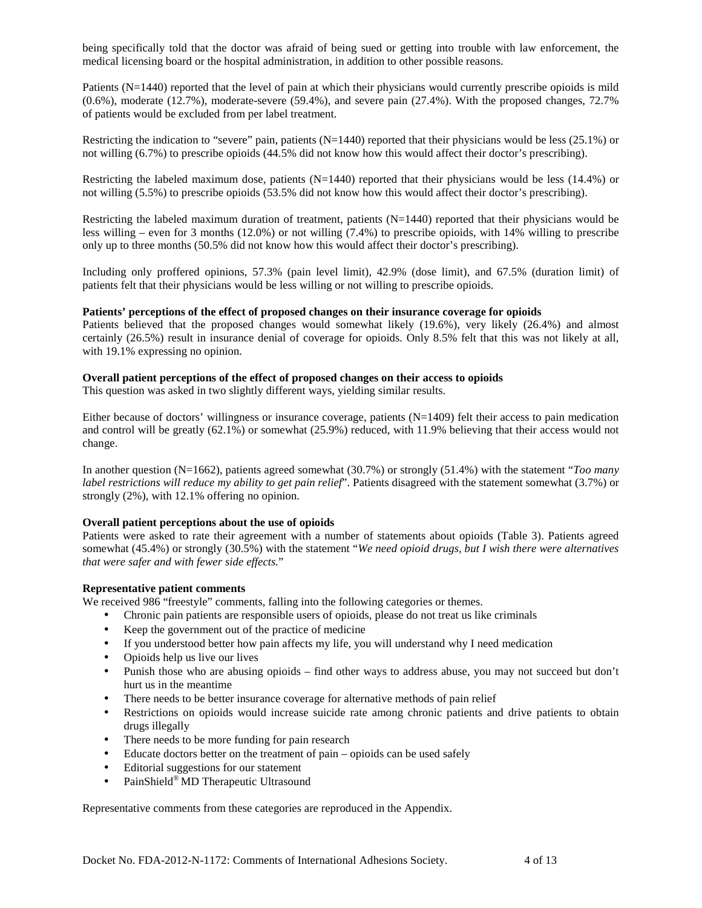being specifically told that the doctor was afraid of being sued or getting into trouble with law enforcement, the medical licensing board or the hospital administration, in addition to other possible reasons.

Patients (N=1440) reported that the level of pain at which their physicians would currently prescribe opioids is mild (0.6%), moderate (12.7%), moderate-severe (59.4%), and severe pain (27.4%). With the proposed changes, 72.7% of patients would be excluded from per label treatment.

Restricting the indication to "severe" pain, patients  $(N=1440)$  reported that their physicians would be less (25.1%) or not willing (6.7%) to prescribe opioids (44.5% did not know how this would affect their doctor's prescribing).

Restricting the labeled maximum dose, patients (N=1440) reported that their physicians would be less (14.4%) or not willing (5.5%) to prescribe opioids (53.5% did not know how this would affect their doctor's prescribing).

Restricting the labeled maximum duration of treatment, patients (N=1440) reported that their physicians would be less willing – even for 3 months (12.0%) or not willing (7.4%) to prescribe opioids, with 14% willing to prescribe only up to three months (50.5% did not know how this would affect their doctor's prescribing).

Including only proffered opinions, 57.3% (pain level limit), 42.9% (dose limit), and 67.5% (duration limit) of patients felt that their physicians would be less willing or not willing to prescribe opioids.

#### **Patients' perceptions of the effect of proposed changes on their insurance coverage for opioids**

Patients believed that the proposed changes would somewhat likely (19.6%), very likely (26.4%) and almost certainly (26.5%) result in insurance denial of coverage for opioids. Only 8.5% felt that this was not likely at all, with 19.1% expressing no opinion.

### **Overall patient perceptions of the effect of proposed changes on their access to opioids**

This question was asked in two slightly different ways, yielding similar results.

Either because of doctors' willingness or insurance coverage, patients (N=1409) felt their access to pain medication and control will be greatly (62.1%) or somewhat (25.9%) reduced, with 11.9% believing that their access would not change.

In another question (N=1662), patients agreed somewhat (30.7%) or strongly (51.4%) with the statement "*Too many label restrictions will reduce my ability to get pain relief*". Patients disagreed with the statement somewhat (3.7%) or strongly (2%), with 12.1% offering no opinion.

### **Overall patient perceptions about the use of opioids**

Patients were asked to rate their agreement with a number of statements about opioids (Table 3). Patients agreed somewhat (45.4%) or strongly (30.5%) with the statement "*We need opioid drugs, but I wish there were alternatives that were safer and with fewer side effects.*"

### **Representative patient comments**

We received 986 "freestyle" comments, falling into the following categories or themes.

- Chronic pain patients are responsible users of opioids, please do not treat us like criminals
- Keep the government out of the practice of medicine
- If you understood better how pain affects my life, you will understand why I need medication
- Opioids help us live our lives
- Punish those who are abusing opioids find other ways to address abuse, you may not succeed but don't hurt us in the meantime
- There needs to be better insurance coverage for alternative methods of pain relief
- Restrictions on opioids would increase suicide rate among chronic patients and drive patients to obtain drugs illegally
- There needs to be more funding for pain research
- Educate doctors better on the treatment of pain opioids can be used safely
- Editorial suggestions for our statement
- PainShield® MD Therapeutic Ultrasound

Representative comments from these categories are reproduced in the Appendix.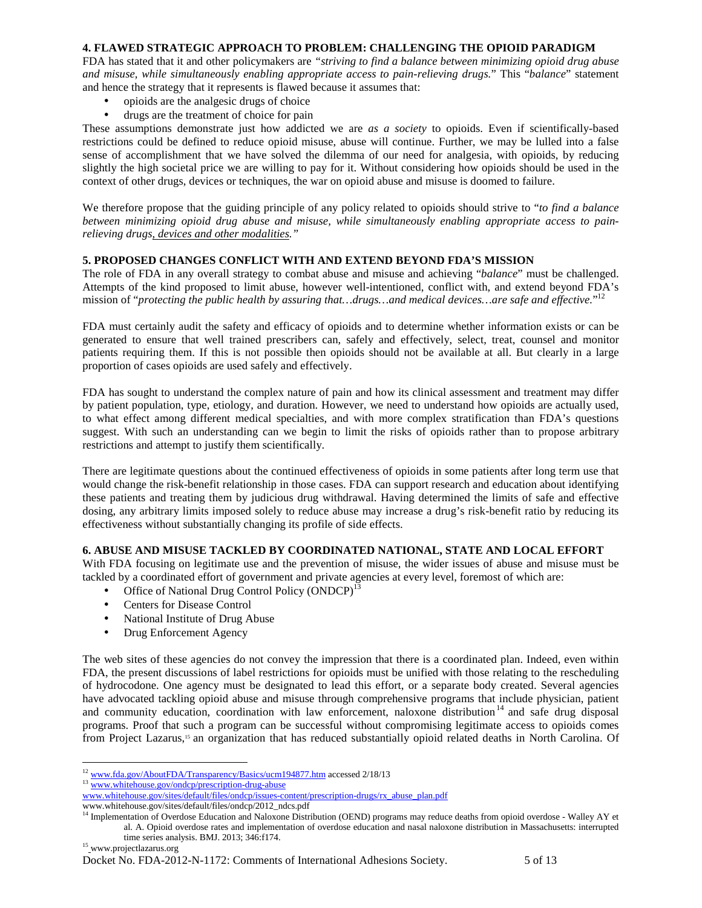### **4. FLAWED STRATEGIC APPROACH TO PROBLEM: CHALLENGING THE OPIOID PARADIGM**

FDA has stated that it and other policymakers are *"striving to find a balance between minimizing opioid drug abuse and misuse, while simultaneously enabling appropriate access to pain-relieving drugs.*" This "*balance*" statement and hence the strategy that it represents is flawed because it assumes that:

- opioids are the analgesic drugs of choice
- drugs are the treatment of choice for pain

These assumptions demonstrate just how addicted we are *as a society* to opioids. Even if scientifically-based restrictions could be defined to reduce opioid misuse, abuse will continue. Further, we may be lulled into a false sense of accomplishment that we have solved the dilemma of our need for analgesia, with opioids, by reducing slightly the high societal price we are willing to pay for it. Without considering how opioids should be used in the context of other drugs, devices or techniques, the war on opioid abuse and misuse is doomed to failure.

We therefore propose that the guiding principle of any policy related to opioids should strive to "*to find a balance between minimizing opioid drug abuse and misuse, while simultaneously enabling appropriate access to painrelieving drugs, devices and other modalities."*

### **5. PROPOSED CHANGES CONFLICT WITH AND EXTEND BEYOND FDA'S MISSION**

The role of FDA in any overall strategy to combat abuse and misuse and achieving "*balance*" must be challenged. Attempts of the kind proposed to limit abuse, however well-intentioned, conflict with, and extend beyond FDA's mission of "protecting the public health by assuring that...drugs...and medical devices...are safe and effective."<sup>12</sup>

FDA must certainly audit the safety and efficacy of opioids and to determine whether information exists or can be generated to ensure that well trained prescribers can, safely and effectively, select, treat, counsel and monitor patients requiring them. If this is not possible then opioids should not be available at all. But clearly in a large proportion of cases opioids are used safely and effectively.

FDA has sought to understand the complex nature of pain and how its clinical assessment and treatment may differ by patient population, type, etiology, and duration. However, we need to understand how opioids are actually used, to what effect among different medical specialties, and with more complex stratification than FDA's questions suggest. With such an understanding can we begin to limit the risks of opioids rather than to propose arbitrary restrictions and attempt to justify them scientifically.

There are legitimate questions about the continued effectiveness of opioids in some patients after long term use that would change the risk-benefit relationship in those cases. FDA can support research and education about identifying these patients and treating them by judicious drug withdrawal. Having determined the limits of safe and effective dosing, any arbitrary limits imposed solely to reduce abuse may increase a drug's risk-benefit ratio by reducing its effectiveness without substantially changing its profile of side effects.

### **6. ABUSE AND MISUSE TACKLED BY COORDINATED NATIONAL, STATE AND LOCAL EFFORT**

With FDA focusing on legitimate use and the prevention of misuse, the wider issues of abuse and misuse must be tackled by a coordinated effort of government and private agencies at every level, foremost of which are:

- Office of National Drug Control Policy  $(ONDCP)^{13}$
- Centers for Disease Control
- National Institute of Drug Abuse
- Drug Enforcement Agency

The web sites of these agencies do not convey the impression that there is a coordinated plan. Indeed, even within FDA, the present discussions of label restrictions for opioids must be unified with those relating to the rescheduling of hydrocodone. One agency must be designated to lead this effort, or a separate body created. Several agencies have advocated tackling opioid abuse and misuse through comprehensive programs that include physician, patient and community education, coordination with law enforcement, naloxone distribution<sup>14</sup> and safe drug disposal programs. Proof that such a program can be successful without compromising legitimate access to opioids comes from Project Lazarus,15 an organization that has reduced substantially opioid related deaths in North Carolina. Of

```
15 www.projectlazarus.org
```
 $\overline{a}$ <sup>12</sup> www.fda.gov/AboutFDA/Transparency/Basics/ucm194877.htm accessed 2/18/13

<sup>13</sup> www.whitehouse.gov/ondcp/prescription-drug-abuse

www.whitehouse.gov/sites/default/files/ondcp/issues-content/prescription-drugs/rx\_abuse\_plan.pdf www.whitehouse.gov/sites/default/files/ondcp/2012\_ndcs.pdf

<sup>&</sup>lt;sup>14</sup> Implementation of Overdose Education and Naloxone Distribution (OEND) programs may reduce deaths from opioid overdose - Walley AY et al. A. Opioid overdose rates and implementation of overdose education and nasal naloxone distribution in Massachusetts: interrupted time series analysis. BMJ. 2013; 346:f174.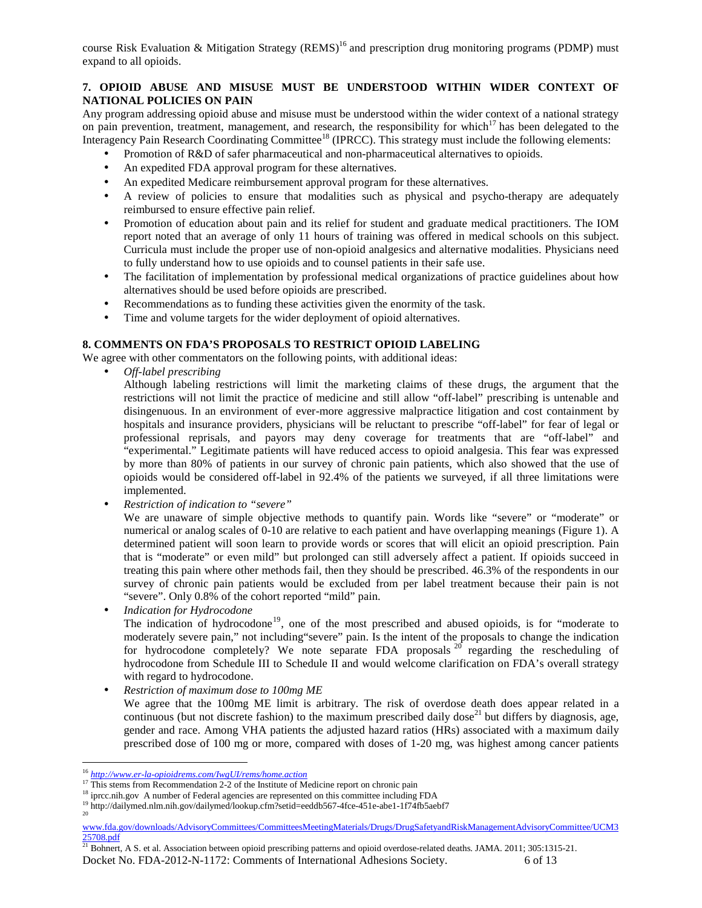course Risk Evaluation & Mitigation Strategy  $(REMS)^{16}$  and prescription drug monitoring programs (PDMP) must expand to all opioids.

## **7. OPIOID ABUSE AND MISUSE MUST BE UNDERSTOOD WITHIN WIDER CONTEXT OF NATIONAL POLICIES ON PAIN**

Any program addressing opioid abuse and misuse must be understood within the wider context of a national strategy on pain prevention, treatment, management, and research, the responsibility for which<sup>17</sup> has been delegated to the Interagency Pain Research Coordinating Committee<sup>18</sup> (IPRCC). This strategy must include the following elements:

- Promotion of R&D of safer pharmaceutical and non-pharmaceutical alternatives to opioids.
- An expedited FDA approval program for these alternatives.
- An expedited Medicare reimbursement approval program for these alternatives.
- A review of policies to ensure that modalities such as physical and psycho-therapy are adequately reimbursed to ensure effective pain relief.
- Promotion of education about pain and its relief for student and graduate medical practitioners. The IOM report noted that an average of only 11 hours of training was offered in medical schools on this subject. Curricula must include the proper use of non-opioid analgesics and alternative modalities. Physicians need to fully understand how to use opioids and to counsel patients in their safe use.
- The facilitation of implementation by professional medical organizations of practice guidelines about how alternatives should be used before opioids are prescribed.
- Recommendations as to funding these activities given the enormity of the task.
- Time and volume targets for the wider deployment of opioid alternatives.

### **8. COMMENTS ON FDA'S PROPOSALS TO RESTRICT OPIOID LABELING**

We agree with other commentators on the following points, with additional ideas:

• *Off-label prescribing* 

Although labeling restrictions will limit the marketing claims of these drugs, the argument that the restrictions will not limit the practice of medicine and still allow "off-label" prescribing is untenable and disingenuous. In an environment of ever-more aggressive malpractice litigation and cost containment by hospitals and insurance providers, physicians will be reluctant to prescribe "off-label" for fear of legal or professional reprisals, and payors may deny coverage for treatments that are "off-label" and "experimental." Legitimate patients will have reduced access to opioid analgesia. This fear was expressed by more than 80% of patients in our survey of chronic pain patients, which also showed that the use of opioids would be considered off-label in 92.4% of the patients we surveyed, if all three limitations were implemented.

• *Restriction of indication to "severe"* 

We are unaware of simple objective methods to quantify pain. Words like "severe" or "moderate" or numerical or analog scales of 0-10 are relative to each patient and have overlapping meanings (Figure 1). A determined patient will soon learn to provide words or scores that will elicit an opioid prescription. Pain that is "moderate" or even mild" but prolonged can still adversely affect a patient. If opioids succeed in treating this pain where other methods fail, then they should be prescribed. 46.3% of the respondents in our survey of chronic pain patients would be excluded from per label treatment because their pain is not "severe". Only 0.8% of the cohort reported "mild" pain.

• *Indication for Hydrocodone* 

The indication of hydrocodone<sup>19</sup>, one of the most prescribed and abused opioids, is for "moderate to moderately severe pain," not including"severe" pain. Is the intent of the proposals to change the indication for hydrocodone completely? We note separate FDA proposals  $20$  regarding the rescheduling of hydrocodone from Schedule III to Schedule II and would welcome clarification on FDA's overall strategy with regard to hydrocodone.

• *Restriction of maximum dose to 100mg ME* 

We agree that the 100mg ME limit is arbitrary. The risk of overdose death does appear related in a continuous (but not discrete fashion) to the maximum prescribed daily dose<sup>21</sup> but differs by diagnosis, age, gender and race. Among VHA patients the adjusted hazard ratios (HRs) associated with a maximum daily prescribed dose of 100 mg or more, compared with doses of 1-20 mg, was highest among cancer patients

 $\overline{a}$ 

<sup>16</sup> *http://www.er-la-opioidrems.com/IwgUI/rems/home.action*

<sup>&</sup>lt;sup>17</sup> This stems from Recommendation 2-2 of the Institute of Medicine report on chronic pain

<sup>&</sup>lt;sup>18</sup> iprcc.nih.gov A number of Federal agencies are represented on this committee including FDA

<sup>&</sup>lt;sup>19</sup> http://dailymed.nlm.nih.gov/dailymed/lookup.cfm?setid=eeddb567-4fce-451e-abe1-1f74fb5aebf7 20

www.fda.gov/downloads/AdvisoryCommittees/CommitteesMeetingMaterials/Drugs/DrugSafetyandRiskManagementAdvisoryCommittee/UCM3 25708.pdf

Docket No. FDA-2012-N-1172: Comments of International Adhesions Society. 6 of 13 <sup>21</sup> Bohnert, A S. et al. Association between opioid prescribing patterns and opioid overdose-related deaths. JAMA. 2011; 305:1315-21.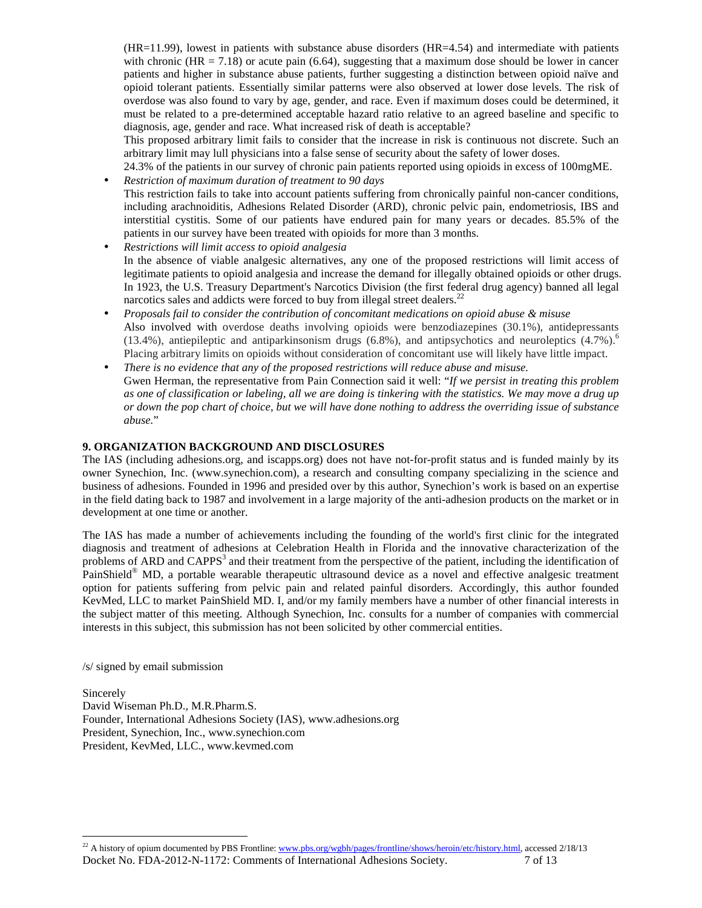(HR=11.99), lowest in patients with substance abuse disorders (HR=4.54) and intermediate with patients with chronic (HR = 7.18) or acute pain (6.64), suggesting that a maximum dose should be lower in cancer patients and higher in substance abuse patients, further suggesting a distinction between opioid naïve and opioid tolerant patients. Essentially similar patterns were also observed at lower dose levels. The risk of overdose was also found to vary by age, gender, and race. Even if maximum doses could be determined, it must be related to a pre-determined acceptable hazard ratio relative to an agreed baseline and specific to diagnosis, age, gender and race. What increased risk of death is acceptable?

This proposed arbitrary limit fails to consider that the increase in risk is continuous not discrete. Such an arbitrary limit may lull physicians into a false sense of security about the safety of lower doses.

24.3% of the patients in our survey of chronic pain patients reported using opioids in excess of 100mgME.

- *Restriction of maximum duration of treatment to 90 days*  This restriction fails to take into account patients suffering from chronically painful non-cancer conditions, including arachnoiditis, Adhesions Related Disorder (ARD), chronic pelvic pain, endometriosis, IBS and interstitial cystitis. Some of our patients have endured pain for many years or decades. 85.5% of the patients in our survey have been treated with opioids for more than 3 months.
- *Restrictions will limit access to opioid analgesia*  In the absence of viable analgesic alternatives, any one of the proposed restrictions will limit access of legitimate patients to opioid analgesia and increase the demand for illegally obtained opioids or other drugs. In 1923, the U.S. Treasury Department's Narcotics Division (the first federal drug agency) banned all legal narcotics sales and addicts were forced to buy from illegal street dealers.<sup>22</sup>
- *Proposals fail to consider the contribution of concomitant medications on opioid abuse & misuse*  Also involved with overdose deaths involving opioids were benzodiazepines (30.1%), antidepressants (13.4%), antiepileptic and antiparkinsonism drugs  $(6.8\%)$ , and antipsychotics and neuroleptics  $(4.7\%)$ <sup>6</sup> Placing arbitrary limits on opioids without consideration of concomitant use will likely have little impact.
- *There is no evidence that any of the proposed restrictions will reduce abuse and misuse.*  Gwen Herman, the representative from Pain Connection said it well: "*If we persist in treating this problem as one of classification or labeling, all we are doing is tinkering with the statistics. We may move a drug up or down the pop chart of choice, but we will have done nothing to address the overriding issue of substance abuse.*"

### **9. ORGANIZATION BACKGROUND AND DISCLOSURES**

The IAS (including adhesions.org, and iscapps.org) does not have not-for-profit status and is funded mainly by its owner Synechion, Inc. (www.synechion.com), a research and consulting company specializing in the science and business of adhesions. Founded in 1996 and presided over by this author, Synechion's work is based on an expertise in the field dating back to 1987 and involvement in a large majority of the anti-adhesion products on the market or in development at one time or another.

The IAS has made a number of achievements including the founding of the world's first clinic for the integrated diagnosis and treatment of adhesions at Celebration Health in Florida and the innovative characterization of the problems of ARD and CAPPS<sup>3</sup> and their treatment from the perspective of the patient, including the identification of PainShield® MD, a portable wearable therapeutic ultrasound device as a novel and effective analgesic treatment option for patients suffering from pelvic pain and related painful disorders. Accordingly, this author founded KevMed, LLC to market PainShield MD. I, and/or my family members have a number of other financial interests in the subject matter of this meeting. Although Synechion, Inc. consults for a number of companies with commercial interests in this subject, this submission has not been solicited by other commercial entities.

/s/ signed by email submission

 $\overline{a}$ 

Sincerely David Wiseman Ph.D., M.R.Pharm.S. Founder, International Adhesions Society (IAS), www.adhesions.org President, Synechion, Inc., www.synechion.com President, KevMed, LLC., www.kevmed.com

Docket No. FDA-2012-N-1172: Comments of International Adhesions Society.  $7$  of 13 <sup>22</sup> A history of opium documented by PBS Frontline: www.pbs.org/wgbh/pages/frontline/shows/heroin/etc/history.html, accessed 2/18/13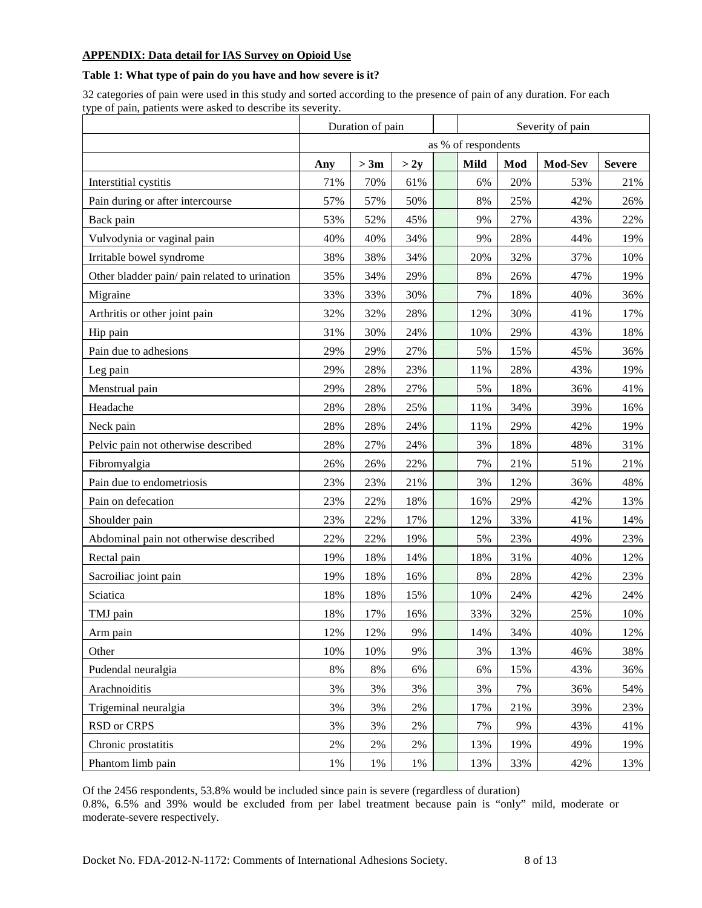## **APPENDIX: Data detail for IAS Survey on Opioid Use**

### **Table 1: What type of pain do you have and how severe is it?**

32 categories of pain were used in this study and sorted according to the presence of pain of any duration. For each type of pain, patients were asked to describe its severity.

|                                               | Duration of pain    |       |      |  | Severity of pain |     |         |               |  |
|-----------------------------------------------|---------------------|-------|------|--|------------------|-----|---------|---------------|--|
|                                               | as % of respondents |       |      |  |                  |     |         |               |  |
|                                               | Any                 | > 3m  | > 2y |  | <b>Mild</b>      | Mod | Mod-Sev | <b>Severe</b> |  |
| Interstitial cystitis                         | 71%                 | 70%   | 61%  |  | 6%               | 20% | 53%     | 21%           |  |
| Pain during or after intercourse              | 57%                 | 57%   | 50%  |  | 8%               | 25% | 42%     | 26%           |  |
| Back pain                                     | 53%                 | 52%   | 45%  |  | 9%               | 27% | 43%     | 22%           |  |
| Vulvodynia or vaginal pain                    | 40%                 | 40%   | 34%  |  | 9%               | 28% | 44%     | 19%           |  |
| Irritable bowel syndrome                      | 38%                 | 38%   | 34%  |  | 20%              | 32% | 37%     | 10%           |  |
| Other bladder pain/ pain related to urination | 35%                 | 34%   | 29%  |  | 8%               | 26% | 47%     | 19%           |  |
| Migraine                                      | 33%                 | 33%   | 30%  |  | 7%               | 18% | 40%     | 36%           |  |
| Arthritis or other joint pain                 | 32%                 | 32%   | 28%  |  | 12%              | 30% | 41%     | 17%           |  |
| Hip pain                                      | 31%                 | 30%   | 24%  |  | 10%              | 29% | 43%     | 18%           |  |
| Pain due to adhesions                         | 29%                 | 29%   | 27%  |  | 5%               | 15% | 45%     | 36%           |  |
| Leg pain                                      | 29%                 | 28%   | 23%  |  | 11%              | 28% | 43%     | 19%           |  |
| Menstrual pain                                | 29%                 | 28%   | 27%  |  | 5%               | 18% | 36%     | 41%           |  |
| Headache                                      | 28%                 | 28%   | 25%  |  | 11%              | 34% | 39%     | 16%           |  |
| Neck pain                                     | 28%                 | 28%   | 24%  |  | 11%              | 29% | 42%     | 19%           |  |
| Pelvic pain not otherwise described           | 28%                 | 27%   | 24%  |  | 3%               | 18% | 48%     | 31%           |  |
| Fibromyalgia                                  | 26%                 | 26%   | 22%  |  | 7%               | 21% | 51%     | 21%           |  |
| Pain due to endometriosis                     | 23%                 | 23%   | 21%  |  | 3%               | 12% | 36%     | 48%           |  |
| Pain on defecation                            | 23%                 | 22%   | 18%  |  | 16%              | 29% | 42%     | 13%           |  |
| Shoulder pain                                 | 23%                 | 22%   | 17%  |  | 12%              | 33% | 41%     | 14%           |  |
| Abdominal pain not otherwise described        | 22%                 | 22%   | 19%  |  | 5%               | 23% | 49%     | 23%           |  |
| Rectal pain                                   | 19%                 | 18%   | 14%  |  | 18%              | 31% | 40%     | 12%           |  |
| Sacroiliac joint pain                         | 19%                 | 18%   | 16%  |  | 8%               | 28% | 42%     | 23%           |  |
| Sciatica                                      | 18%                 | 18%   | 15%  |  | 10%              | 24% | 42%     | 24%           |  |
| TMJ pain                                      | 18%                 | 17%   | 16%  |  | 33%              | 32% | 25%     | 10%           |  |
| Arm pain                                      | 12%                 | 12%   | 9%   |  | 14%              | 34% | 40%     | 12%           |  |
| Other                                         | 10%                 | 10%   | 9%   |  | 3%               | 13% | 46%     | 38%           |  |
| Pudendal neuralgia                            | 8%                  | $8\%$ | 6%   |  | 6%               | 15% | 43%     | 36%           |  |
| Arachnoiditis                                 | 3%                  | 3%    | 3%   |  | 3%               | 7%  | 36%     | 54%           |  |
| Trigeminal neuralgia                          | 3%                  | 3%    | 2%   |  | 17%              | 21% | 39%     | 23%           |  |
| RSD or CRPS                                   | 3%                  | 3%    | 2%   |  | 7%               | 9%  | 43%     | 41%           |  |
| Chronic prostatitis                           | $2\%$               | 2%    | 2%   |  | 13%              | 19% | 49%     | 19%           |  |
| Phantom limb pain                             | $1\%$               | 1%    | 1%   |  | 13%              | 33% | 42%     | 13%           |  |

Of the 2456 respondents, 53.8% would be included since pain is severe (regardless of duration) 0.8%, 6.5% and 39% would be excluded from per label treatment because pain is "only" mild, moderate or moderate-severe respectively.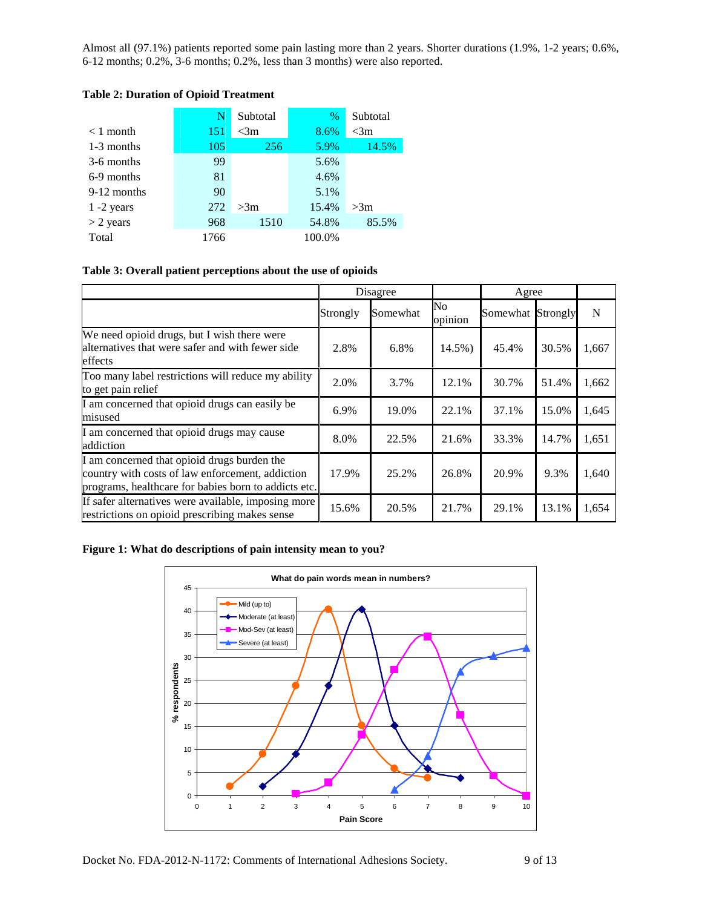Almost all (97.1%) patients reported some pain lasting more than 2 years. Shorter durations (1.9%, 1-2 years; 0.6%, 6-12 months; 0.2%, 3-6 months; 0.2%, less than 3 months) were also reported.

|               | N    | Subtotal | $\%$   | Subtotal |  |
|---------------|------|----------|--------|----------|--|
| $< 1$ month   | 151  | $<$ 3m   | 8.6%   | $<$ 3m   |  |
| 1-3 months    | 105  | 256      | 5.9%   | 14.5%    |  |
| 3-6 months    | 99   |          | 5.6%   |          |  |
| 6-9 months    | 81   |          | 4.6%   |          |  |
| 9-12 months   | 90   |          | 5.1%   |          |  |
| $1 - 2$ years | 272  | >3m      | 15.4%  | >3m      |  |
| $>$ 2 years   | 968  | 1510     | 54.8%  | 85.5%    |  |
| Total         | 1766 |          | 100.0% |          |  |

# **Table 2: Duration of Opioid Treatment**

### **Table 3: Overall patient perceptions about the use of opioids**

|                                                                                                                                                         |          | Disagree |               | Agree             |       |       |
|---------------------------------------------------------------------------------------------------------------------------------------------------------|----------|----------|---------------|-------------------|-------|-------|
|                                                                                                                                                         | Strongly | Somewhat | No<br>opinion | Somewhat Strongly |       | N     |
| We need opioid drugs, but I wish there were<br>alternatives that were safer and with fewer side<br>effects                                              | 2.8%     | 6.8%     | 14.5%)        | 45.4%             | 30.5% | 1,667 |
| Too many label restrictions will reduce my ability<br>to get pain relief                                                                                | 2.0%     | 3.7%     | 12.1%         | 30.7%             | 51.4% | 1,662 |
| I am concerned that opioid drugs can easily be<br>misused                                                                                               | 6.9%     | 19.0%    | 22.1%         | 37.1%             | 15.0% | 1,645 |
| I am concerned that opioid drugs may cause<br>addiction                                                                                                 | 8.0%     | 22.5%    | 21.6%         | 33.3%             | 14.7% | 1,651 |
| I am concerned that opioid drugs burden the<br>country with costs of law enforcement, addiction<br>programs, healthcare for babies born to addicts etc. | 17.9%    | 25.2%    | 26.8%         | 20.9%             | 9.3%  | 1,640 |
| If safer alternatives were available, imposing more<br>restrictions on opioid prescribing makes sense                                                   | 15.6%    | 20.5%    | 21.7%         | 29.1%             | 13.1% | 1,654 |

## **Figure 1: What do descriptions of pain intensity mean to you?**

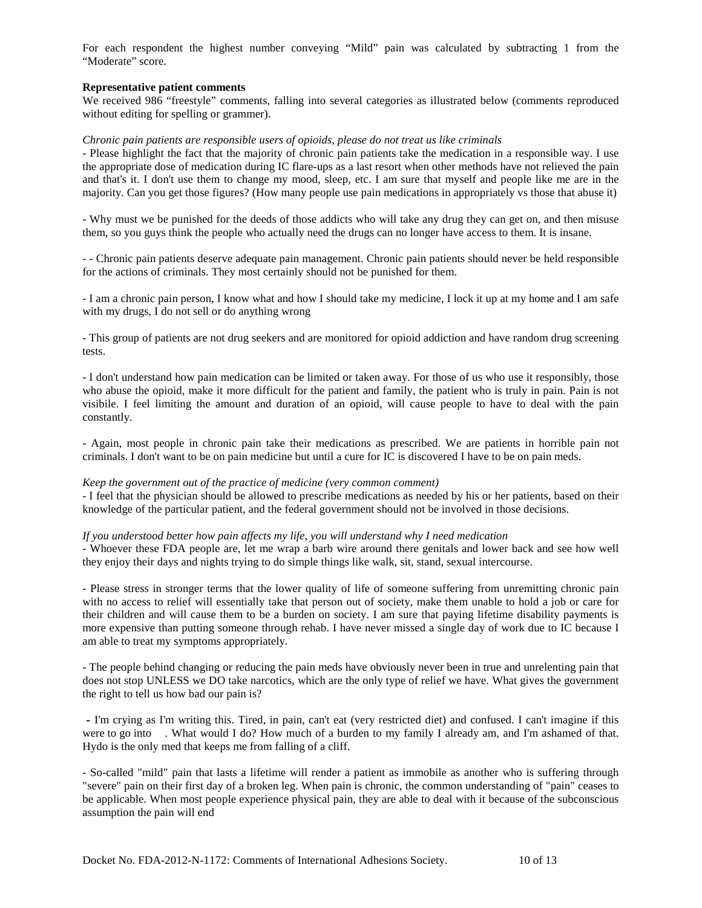For each respondent the highest number conveying "Mild" pain was calculated by subtracting 1 from the "Moderate" score.

#### **Representative patient comments**

We received 986 "freestyle" comments, falling into several categories as illustrated below (comments reproduced without editing for spelling or grammer).

#### *Chronic pain patients are responsible users of opioids, please do not treat us like criminals*

- Please highlight the fact that the majority of chronic pain patients take the medication in a responsible way. I use the appropriate dose of medication during IC flare-ups as a last resort when other methods have not relieved the pain and that's it. I don't use them to change my mood, sleep, etc. I am sure that myself and people like me are in the majority. Can you get those figures? (How many people use pain medications in appropriately vs those that abuse it)

- Why must we be punished for the deeds of those addicts who will take any drug they can get on, and then misuse them, so you guys think the people who actually need the drugs can no longer have access to them. It is insane.

*-* - Chronic pain patients deserve adequate pain management. Chronic pain patients should never be held responsible for the actions of criminals. They most certainly should not be punished for them.

- I am a chronic pain person, I know what and how I should take my medicine, I lock it up at my home and I am safe with my drugs, I do not sell or do anything wrong

- This group of patients are not drug seekers and are monitored for opioid addiction and have random drug screening tests.

- I don't understand how pain medication can be limited or taken away. For those of us who use it responsibly, those who abuse the opioid, make it more difficult for the patient and family, the patient who is truly in pain. Pain is not visibile. I feel limiting the amount and duration of an opioid, will cause people to have to deal with the pain constantly.

- Again, most people in chronic pain take their medications as prescribed. We are patients in horrible pain not criminals. I don't want to be on pain medicine but until a cure for IC is discovered I have to be on pain meds.

#### *Keep the government out of the practice of medicine (very common comment)*

- I feel that the physician should be allowed to prescribe medications as needed by his or her patients, based on their knowledge of the particular patient, and the federal government should not be involved in those decisions.

#### *If you understood better how pain affects my life, you will understand why I need medication*

- Whoever these FDA people are, let me wrap a barb wire around there genitals and lower back and see how well they enjoy their days and nights trying to do simple things like walk, sit, stand, sexual intercourse.

- Please stress in stronger terms that the lower quality of life of someone suffering from unremitting chronic pain with no access to relief will essentially take that person out of society, make them unable to hold a job or care for their children and will cause them to be a burden on society. I am sure that paying lifetime disability payments is more expensive than putting someone through rehab. I have never missed a single day of work due to IC because I am able to treat my symptoms appropriately.

- The people behind changing or reducing the pain meds have obviously never been in true and unrelenting pain that does not stop UNLESS we DO take narcotics, which are the only type of relief we have. What gives the government the right to tell us how bad our pain is?

- I'm crying as I'm writing this. Tired, in pain, can't eat (very restricted diet) and confused. I can't imagine if this were to go into . What would I do? How much of a burden to my family I already am, and I'm ashamed of that. Hydo is the only med that keeps me from falling of a cliff.

- So-called "mild" pain that lasts a lifetime will render a patient as immobile as another who is suffering through "severe" pain on their first day of a broken leg. When pain is chronic, the common understanding of "pain" ceases to be applicable. When most people experience physical pain, they are able to deal with it because of the subconscious assumption the pain will end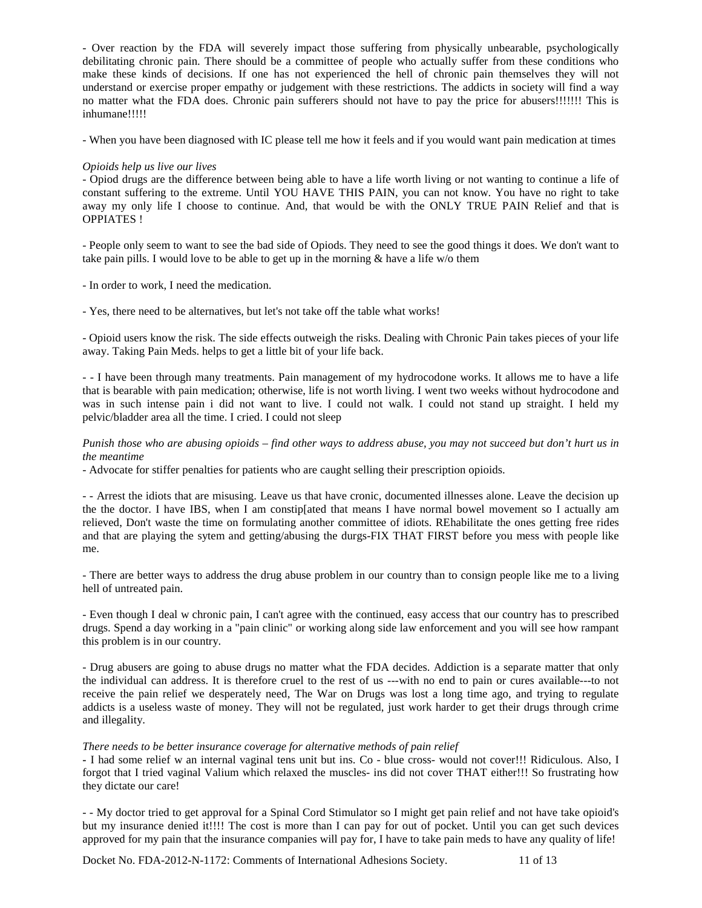- Over reaction by the FDA will severely impact those suffering from physically unbearable, psychologically debilitating chronic pain. There should be a committee of people who actually suffer from these conditions who make these kinds of decisions. If one has not experienced the hell of chronic pain themselves they will not understand or exercise proper empathy or judgement with these restrictions. The addicts in society will find a way no matter what the FDA does. Chronic pain sufferers should not have to pay the price for abusers!!!!!!! This is inhumane!!!!!

- When you have been diagnosed with IC please tell me how it feels and if you would want pain medication at times

### *Opioids help us live our lives*

- Opiod drugs are the difference between being able to have a life worth living or not wanting to continue a life of constant suffering to the extreme. Until YOU HAVE THIS PAIN, you can not know. You have no right to take away my only life I choose to continue. And, that would be with the ONLY TRUE PAIN Relief and that is OPPIATES !

- People only seem to want to see the bad side of Opiods. They need to see the good things it does. We don't want to take pain pills. I would love to be able to get up in the morning & have a life w/o them

- In order to work, I need the medication.

- Yes, there need to be alternatives, but let's not take off the table what works!

- Opioid users know the risk. The side effects outweigh the risks. Dealing with Chronic Pain takes pieces of your life away. Taking Pain Meds. helps to get a little bit of your life back.

*-* - I have been through many treatments. Pain management of my hydrocodone works. It allows me to have a life that is bearable with pain medication; otherwise, life is not worth living. I went two weeks without hydrocodone and was in such intense pain i did not want to live. I could not walk. I could not stand up straight. I held my pelvic/bladder area all the time. I cried. I could not sleep

### *Punish those who are abusing opioids – find other ways to address abuse, you may not succeed but don't hurt us in the meantime*

- Advocate for stiffer penalties for patients who are caught selling their prescription opioids.

- - Arrest the idiots that are misusing. Leave us that have cronic, documented illnesses alone. Leave the decision up the the doctor. I have IBS, when I am constip[ated that means I have normal bowel movement so I actually am relieved, Don't waste the time on formulating another committee of idiots. REhabilitate the ones getting free rides and that are playing the sytem and getting/abusing the durgs-FIX THAT FIRST before you mess with people like me.

- There are better ways to address the drug abuse problem in our country than to consign people like me to a living hell of untreated pain.

- Even though I deal w chronic pain, I can't agree with the continued, easy access that our country has to prescribed drugs. Spend a day working in a "pain clinic" or working along side law enforcement and you will see how rampant this problem is in our country.

- Drug abusers are going to abuse drugs no matter what the FDA decides. Addiction is a separate matter that only the individual can address. It is therefore cruel to the rest of us ---with no end to pain or cures available---to not receive the pain relief we desperately need, The War on Drugs was lost a long time ago, and trying to regulate addicts is a useless waste of money. They will not be regulated, just work harder to get their drugs through crime and illegality.

### *There needs to be better insurance coverage for alternative methods of pain relief*

**-** I had some relief w an internal vaginal tens unit but ins. Co - blue cross- would not cover!!! Ridiculous. Also, I forgot that I tried vaginal Valium which relaxed the muscles- ins did not cover THAT either!!! So frustrating how they dictate our care!

- - My doctor tried to get approval for a Spinal Cord Stimulator so I might get pain relief and not have take opioid's but my insurance denied it!!!! The cost is more than I can pay for out of pocket. Until you can get such devices approved for my pain that the insurance companies will pay for, I have to take pain meds to have any quality of life!

Docket No. FDA-2012-N-1172: Comments of International Adhesions Society. 11 of 13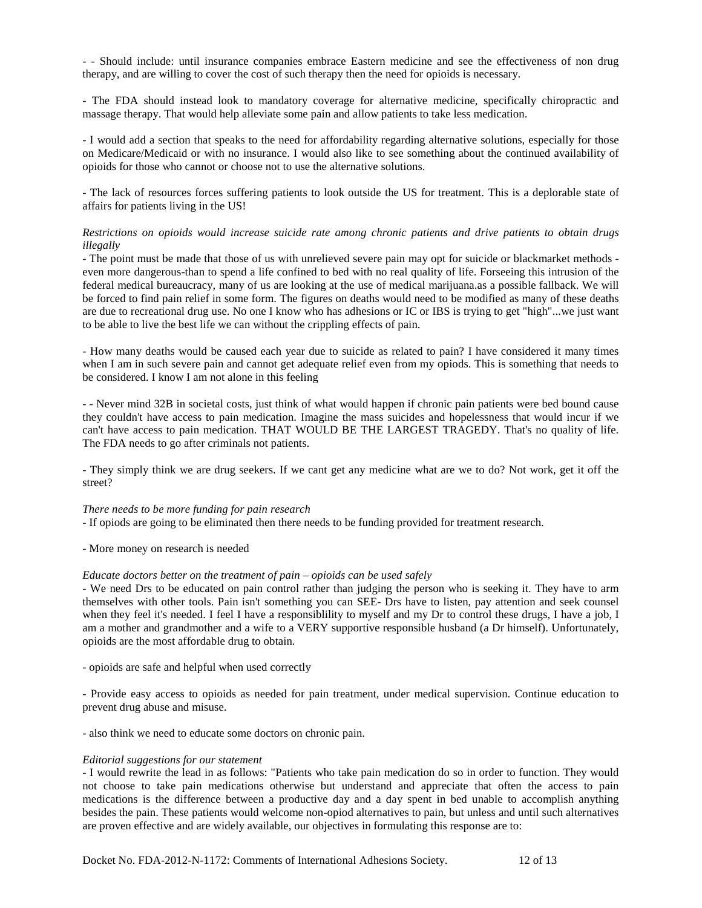- - Should include: until insurance companies embrace Eastern medicine and see the effectiveness of non drug therapy, and are willing to cover the cost of such therapy then the need for opioids is necessary.

- The FDA should instead look to mandatory coverage for alternative medicine, specifically chiropractic and massage therapy. That would help alleviate some pain and allow patients to take less medication.

- I would add a section that speaks to the need for affordability regarding alternative solutions, especially for those on Medicare/Medicaid or with no insurance. I would also like to see something about the continued availability of opioids for those who cannot or choose not to use the alternative solutions.

- The lack of resources forces suffering patients to look outside the US for treatment. This is a deplorable state of affairs for patients living in the US!

### *Restrictions on opioids would increase suicide rate among chronic patients and drive patients to obtain drugs illegally*

- The point must be made that those of us with unrelieved severe pain may opt for suicide or blackmarket methods even more dangerous-than to spend a life confined to bed with no real quality of life. Forseeing this intrusion of the federal medical bureaucracy, many of us are looking at the use of medical marijuana.as a possible fallback. We will be forced to find pain relief in some form. The figures on deaths would need to be modified as many of these deaths are due to recreational drug use. No one I know who has adhesions or IC or IBS is trying to get "high"...we just want to be able to live the best life we can without the crippling effects of pain.

- How many deaths would be caused each year due to suicide as related to pain? I have considered it many times when I am in such severe pain and cannot get adequate relief even from my opiods. This is something that needs to be considered. I know I am not alone in this feeling

- - Never mind 32B in societal costs, just think of what would happen if chronic pain patients were bed bound cause they couldn't have access to pain medication. Imagine the mass suicides and hopelessness that would incur if we can't have access to pain medication. THAT WOULD BE THE LARGEST TRAGEDY. That's no quality of life. The FDA needs to go after criminals not patients.

- They simply think we are drug seekers. If we cant get any medicine what are we to do? Not work, get it off the street?

### *There needs to be more funding for pain research*

- If opiods are going to be eliminated then there needs to be funding provided for treatment research.

- More money on research is needed

#### *Educate doctors better on the treatment of pain – opioids can be used safely*

- We need Drs to be educated on pain control rather than judging the person who is seeking it. They have to arm themselves with other tools. Pain isn't something you can SEE- Drs have to listen, pay attention and seek counsel when they feel it's needed. I feel I have a responsibility to myself and my Dr to control these drugs, I have a job, I am a mother and grandmother and a wife to a VERY supportive responsible husband (a Dr himself). Unfortunately, opioids are the most affordable drug to obtain.

- opioids are safe and helpful when used correctly

- Provide easy access to opioids as needed for pain treatment, under medical supervision. Continue education to prevent drug abuse and misuse.

- also think we need to educate some doctors on chronic pain.

#### *Editorial suggestions for our statement*

- I would rewrite the lead in as follows: "Patients who take pain medication do so in order to function. They would not choose to take pain medications otherwise but understand and appreciate that often the access to pain medications is the difference between a productive day and a day spent in bed unable to accomplish anything besides the pain. These patients would welcome non-opiod alternatives to pain, but unless and until such alternatives are proven effective and are widely available, our objectives in formulating this response are to: